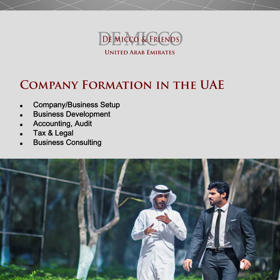

# **Company Formation in the UAE**

- Company/Business Setup
- ■Business Development
- ■Accounting, Audit
- Tax & Legal
- Business Consulting

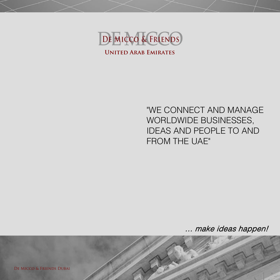

"WE CONNECT AND MANAGE WORLDWIDE BUSINESSES, IDEAS AND PEOPLE TO AND FROM THE UAE"

… make ideas happen!

De Micco & Friends Dubai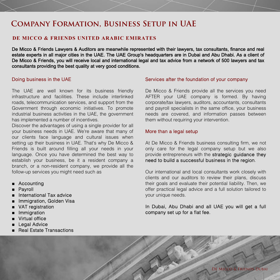## **Company Formation, Business Setup in UAE**

#### **DE MICCO & FRIENDS UNITED ARABIC EMIRATES**

De Micco & Friends Lawyers & Auditors are meanwhile represented with their lawyers, tax consultants, finance and real estate experts in all major cities in the UAE. The UAE Group's headquarters are in Dubai and Abu Dhabi. As a client of De Micco & Friends, you will receive local and international legal and tax advice from a network of 500 lawyers and tax consultants providing the best quality at very good conditions.

#### Doing business in the UAE

The UAE are well known for its business friendly infrastructure and facilities. These include interlinked roads, telecommunication services, and support from the Government through economic initiatives. To promote industrial business activities in the UAE, the government has implemented a number of incentives.

Discover the advantages of using a single provider for all your business needs in UAE. We're aware that many of our clients face language and cultural issues when setting up their business in UAE. That's why De Micco & Friends is built around filling all your needs in your language. Once you have determined the best way to establish your business, be it a resident company a branch, or a non-resident company, we provide all the follow-up services you might need such as

- Accounting
- ■Payroll
- International Tax advice
- Immigration, Golden Visa
- VAT registration
- Immigration
- Virtual office
- Legal Advice
- Real Estate Transactions

#### Services after the foundation of your company

De Micco & Friends provide all the services you need AFTER your UAE company is formed. By having corporate/tax lawyers, auditors, accountants, consultants and payroll specialists in the same office, your business needs are covered, and information passes between them without requiring your intervention.

#### More than a legal setup

At De Micco & Friends business consulting firm, we not only care for the legal company setup but we also provide entrepreneurs with the strategic guidance they need to build a successful business in the region.

Our international and local consultants work closely with clients and our auditors to review their plans, discuss their goals and evaluate their potential liability. Then, we offer practical legal advice and a full solution tailored to your unique needs.

#### In Dubai, Abu Dhabi and all UAE you will get a full company set up for a flat fee.

De Micco & Friends Dubai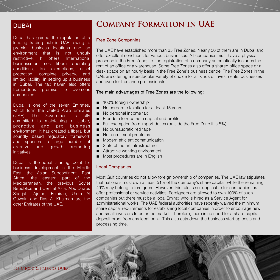Dubai has gained the reputation of a leading trading hub in UAE, owing to premier business locations and an environment that is not unduly restrictive. It offers International businessmen most liberal operating conditions, tax exemptions, asset protection, complete privacy, and limited liability, in setting up a business in Dubai. The tax haven also offers tremendous promise to overseas companies-

Dubai is one of the seven Emirates, which form the United Arab Emirates (UAE). The Government is fully committed to maintaining a stable, proactive and pro business environment. It has created a liberal but soundly based regulatory framework and sponsors a large number of creative and growth promoting initiatives.

Dubai is the ideal starting point for business development in the Middle East, the Asian Subcontinent, East Africa, the eastern part of the Mediterranean, the previous Soviet Republics and Central Asia. Abu Dhabi, Sharjah, Ajman, Fujairah, Umm Al Quwain and Ras Al Khaimah are the other Emirates of the UAE.

## **DUBAI COMPANY FORMATION IN UAE**

#### Free Zone Companies

The UAE have established more than 35 Free Zones. Nearly 30 of them are in Dubai and offer excellent conditions for various businesses. All companies must have a physical presence in the Free Zone; i.e. the registration of a company automatically includes the rent of an office or a warehouse. Some Free Zones also offer a shared office space or a desk space on an hourly basis in the Free Zone's business centre. The Free Zones in the UAE are offering a spectacular variety of choice for all kinds of investments, businesses and even for freelance professionals.

#### The main advantages of Free Zones are the following:

- 100% foreign ownership
- No corporate taxation for at least 15 years
- No personal income tax
- Freedom to repatriate capital and profits
- Full exemption from import duties (outside the Free Zone it is 5%)
- No bureaucratic red tape
- No recruitment problems
- Modern efficient communication
- State of the art infrastructure
- Attractive working environment
- Most procedures are in English

#### Local Companies

Most Gulf countries do not allow foreign ownership of companies. The UAE law stipulates that nationals must own at least 51% of the company's share capital, while the remaining 49% may belong to foreigners. However, this rule is not applicable for companies that offer professional or service activities. Foreigners are allowed to own 100% of such companies but there must be a local Emirati who is hired as a Service Agent for administrational works. The UAE federal authorities have recently waived the minimum share capital requirements for establishing local companies in order to encourage new and small investors to enter the market. Therefore, there is no need for a share capital deposit proof from any local bank. This also cuts down the business start up costs and processing time.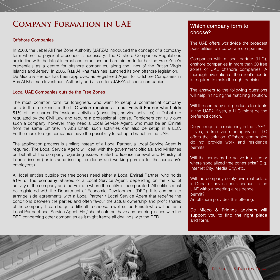## **Company Formation in UAE**

#### Offshore Companies

In 2003, the Jebel Ali Free Zone Authority (JAFZA) introduced the concept of a company form where no physical presence is necessary. The Offshore Companies Regulations are in line with the latest international practices and are aimed to further the Free Zone's credentials as a centre for offshore companies, along the lines of the British Virgin Islands and Jersey. In 2006, Ras Al Khaimah has launched its own offshore legislation. De Micco & Friends has been approved as Registered Agent for Offshore Companies in Ras Al Khaimah Investment Authority and also offers JAFZA offshore companies.

#### Local UAE Companies outside the Free Zones

The most common form for foreigners, who want to setup a commercial company outside the free zones, is the LLC which requires a Local Emirati Partner who holds 51% of the shares. Professional activities (consulting, service activities) in Dubai are regulated by the Civil Law and require a professional license. Foreigners can fully own such a company; however, they need a Local Service Agent, who must be an Emirati from the same Emirate. In Abu Dhabi such activities can also be setup in a LLC. Furthermore, foreign companies have the possibility to set up a branch in the UAE.

The application process is similar; instead of a Local Partner, a Local Service Agent is required. The Local Service Agent will deal with the government officials and Ministries on behalf of the company regarding issues related to license renewal and Ministry of Labour issues (for instance issuing residency and working permits for the company's employees).

All local entities outside the free zones need either a Local Emirati Partner, who holds 51% of the company shares, or a Local Service Agent, depending on the kind of activity of the company and the Emirate where the entity is incorporated. All entities must be registered with the Department of Economic Development (DED). It is common to arrange side agreements with a Local Partner / Local Service Agent that redefine the conditions between the parties and often favour the actual ownership and profit shares of the company. It can be quite difficult to choose a well suited Emirati who will act as a Local Partner/Local Service Agent. He / she should not have any pending issues with the DED concerning other companies as it might freeze all dealings with the DED.

#### Which company form to choose?

The UAE offers worldwide the broadest possibilities to incorporate companies:

Companies with a local partner (LLC), onshore companies in more than 30 free zones or UAE offshore companies. A thorough evaluation of the client's needs is required to make the right decision.

The answers to the following questions will help in finding the matching solution:

Will the company sell products to clients in the UAE? If yes, a LLC might be the preferred option.

Do you require a residency in the UAE? If yes, a free zone company or LLC offers the solution. Offshore companies do not provide work and residence permits.

Will the company be active in a sector where specialized free zones exist? E.g. Internet City, Media City, etc.

Will the company solely own real estate in Dubai or have a bank account in the UAE without needing a residence permit?

An offshore provides this offering.

De Micco & Friends advisors will support you to find the right place and form.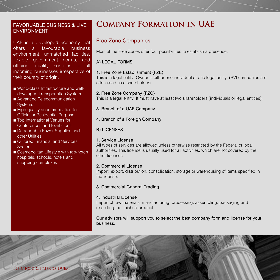## ENVIRONMENT

UAE is a developed economy that offers a favourable business environment, unmatched facilities, flexible government norms, and efficient quality services to all incoming businesses irrespective of their country of origin.

- World-class Infrastructure and welldeveloped Transportation System
- Advanced Telecommunication **Systems**
- High quality accommodation for Official or Residential Purpose
- Top International Venues for Conferences and Exhibitions
- Dependable Power Supplies and other Utilities
- Cultured Financial and Services Sector
- Cosmopolitan Lifestyle with top-notch hospitals, schools, hotels and shopping complexes

## FAVORUABLE BUSINESS & LIVE **Company Formation in UAE**

#### Free Zone Companies

Most of the Free Zones offer four possibilities to establish a presence:

#### A) LEGAL FORMS

#### 1. Free Zone Establishment (FZE)

This is a legal entity. Owner is either one individual or one legal entity. (BVI companies are often used as a shareholder)

#### 2. Free Zone Company (FZC)

This is a legal entity. It must have at least two shareholders (individuals or legal entities).

#### 3. Branch of a UAE Company

4. Branch of a Foreign Company

#### B) LICENSES

#### 1. Service License

All types of services are allowed unless otherwise restricted by the Federal or local authorities. This license is usually used for all activities, which are not covered by the other licenses.

#### 2. Commercial License

Import, export, distribution, consolidation, storage or warehousing of items specified in the license.

#### 3. Commercial General Trading

#### 4. Industrial License

Import of raw materials, manufacturing, processing, assembling, packaging and exporting the finished product.

#### Our advisors will support you to select the best company form and license for your business.

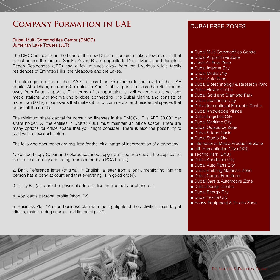## **Company Formation in UAE**

#### Dubai Multi Commodities Centre (DMCC) Jumeirah Lake Towers (JLT)

The DMCC is located in the heart of the new Dubai in Jumeirah Lakes Towers (JLT) that is just across the famous Sheikh Zayed Road, opposite to Dubai Marina and Jumeirah Beach Residences (JBR) and a few minutes away from the luxurious villa's family residences of Emirates Hills, the Meadows and the Lakes.

The strategic location of the DMCC is less than 75 minutes to the heart of the UAE capital Abu Dhabi, around 60 minutes to Abu Dhabi airport and less than 40 minutes away from Dubai airport. JLT in terms of transportation is well covered as it has two metro stations with two walking bridges connecting it to Dubai Marina and consists of more than 80 high rise towers that makes it full of commercial and residential spaces that caters all the needs.

The minimum share capital for consulting licenses in the DMCC/JLT is AED 50,000 per share holder. All the entities in DMCC / JLT must maintain an office space. There are many options for office space that you might consider. There is also the possibility to start with a flexi desk setup.

The following documents are required for the initial stage of incorporation of a company:

1. Passport copy (Clear and colored scanned copy / Certified true copy if the application is out of the country and being represented by a POA holder)

2. Bank Reference letter (original, in English, a letter from a bank mentioning that the person has a bank account and that everything is in good order).

- 3. Utility Bill (as a proof of physical address, like an electricity or phone bill)
- 4. Applicants personal profile (short CV)

5. Business Plan "A short business plan with the highlights of the activities, main target clients, main funding source, and financial plan".

#### DUBAI FREE ZONES

- Dubai Multi Commodities Centre
- Dubai Airport Free Zone
- Jebel Ali Free Zone
- Dubai Internet City
- Dubai Media City
- Dubai Auto Zone
- Dubai Biotechnology & Research Park
- Dubai Flower Centre
- Dubai Gold and Diamond Park
- Dubai Healthcare City
- Dubai International Financial Centre
- Dubai Knowledge Village
- Dubai Logistics City
- Dubai Maritime City
- Dubai Outsource Zone
- Dubai Silicon Oasis
- Dubai Studio City
- International Media Production Zone
- Intl. Humanitarian City (DXB)
- Techno Park (DXB)
- Dubai Academic City
- Dubai Auto Parts City
- Dubai Building Materials Zone
- Dubai Carpet Free Zone
- Dubai Cars & Automotive Zone
- Dubai Design Centre
- Dubai Energy City
- Dubai Textile City
- Heavy Equipment & Trucks Zone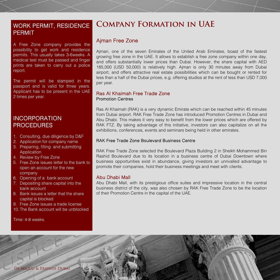# PERMIT

A Free Zone company provides the possibility to get work and residence permits. This usually takes 3-6weeks. A medical test must be passed and finger prints are taken to carry out a police report.

The permit will be stamped in the passport and is valid for three years. Applicant has to be present in the UAE 2 times per year.

### INCORPORATION **PROCEDURES**

- 1. Consulting, due diligence by D&F
- 2. Application for company name
- 3. Preparing, filling and submitting Application
- 4. Review by Free Zone
- 5. Free Zone issues letter to the bank to open an account for the new company
- 6. Opening of a bank account
- 7. Depositing share capital into the bank account
- 8. Bank issues a letter that the share capital is blocked
- 9. Free Zone issues a trade license
- 10. The Bank account will be unblocked

Time: 4-8 weeks.

## WORK PERMIT, RESIDENCE **Company Formation in UAE**

#### Ajman Free Zone

Ajman, one of the seven Emirates of the United Arab Emirates, boast of the fastest growing free zone in the UAE. It allows to establish a free zone company within one day, and offers substantially lower prices than Dubai. However, the share capital with AED 185,000 (USD 50,000) is relatively high. Ajman is only 30 minutes away from Dubai airport, and offers attractive real estate possibilities which can be bought or rented for less than a half of the Dubai prices, e.g. offering studios at the rent of less than USD 7,000 per year.

#### Ras Al Khaimah Free Trade Zone Promotion Centres

Ras Al Khaimah (RAK) is a very dynamic Emirate which can be reached within 45 minutes from Dubai airport. RAK Free Trade Zone has introduced Promotion Centres in Dubai and Abu Dhabi. This makes it very easy to benefit from the lower prices which are offered by RAK FTZ. By taking advantage of this initiative, investors can also capitalize on all the exhibitions, conferences, events and seminars being held in other emirates.

#### RAK Free Trade Zone Boulevard Business Centre

RAK Free Trade Zone selected the Boulevard Plaza Building 2 in Sheikh Mohammed Bin Rashid Boulevard due to its location in a business centre of Dubai Downtown where business opportunities exist in abundance, giving investors an unrivalled advantage to promote their companies, hold their business meetings and meet with clients.

#### Abu Dhabi Mall

Abu Dhabi Mall, with its prestigious office suites and impressive location in the central business district of the city, was also chosen by RAK Free Trade Zone to be the location of their Promotion Centre in the capital of the UAE.

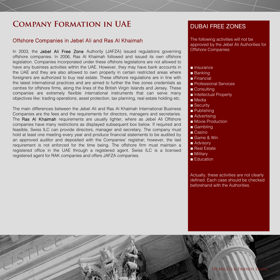## **Company Formation in UAE**

#### Offshore Companies in Jebel Ali and Ras Al Khaimah

In 2003, the Jebel Ali Free Zone Authority (JAFZA) issued regulations governing offshore companies. In 2006, Ras Al Khaimah followed and issued its own offshore legislation. Companies incorporated under these offshore legislations are not allowed to have any business activities within the UAE. However, they may have bank accounts in the UAE and they are also allowed to own property in certain restricted areas where foreigners are authorized to buy real estate. These offshore regulations are in line with the latest international practices and are aimed to further the free zones credentials as centres for offshore firms, along the lines of the British Virgin Islands and Jersey. These companies are extremely flexible international instruments that can serve many objectives like: trading operations, asset protection, tax planning, real estate holding etc.

The main differences between the Jebel Ali and Ras Al Khaimah International Business Companies are the fees and the requirements for directors, managers and secretaries. The Ras AI Khaimah requirements are usually lighter, where as Jebel Ali Offshore companies have many restrictions as displayed subsequent box below. If required and feasible, Swiss ILC can provide directors, manager and secretary. The company must hold at least one meeting every year and produce financial statements to be audited by an approved auditor and deposited with the Companies' registrar; however, the last requirement is not enforced for the time being. The offshore firm must maintain a registered office in the UAE through a registered agent. Swiss ILC is a licensed registered agent for RAK companies and offers JAFZA companies.

### DUBAI FREE ZONES

The following activities will not be approved by the Jebel Ali Authorities for Offshore Companies:

- Insurance
- Banking
- Financial
- Professional Services
- Consulting
- Intellectual Property
- Media
- Security
- Publishing
- Advertising
- Movie Production
- Gambling
- Casino
- Game & Win
- Advisory
- Real Estate
- Military
- Education

Actually, these activities are not clearly defined. Each case should be checked beforehand with the Authorities.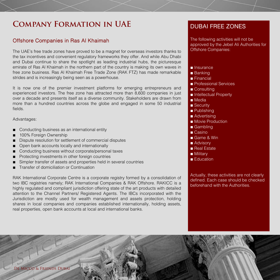## **COMPANY FORMATION IN UAE DUBAI FREE ZONES**

#### Offshore Companies in Ras Al Khaimah

The UAE's free trade zones have proved to be a magnet for overseas investors thanks to the tax incentives and convenient regulatory frameworks they offer. And while Abu Dhabi and Dubai continue to share the spotlight as leading industrial hubs, the picturesque emirate of Ras Al Khaimah in the northern part of the country is making its own waves in free zone business. Ras Al Khaimah Free Trade Zone (RAK FTZ) has made remarkable strides and is increasingly being seen as a powerhouse.

It is now one of the premier investment platforms for emerging entrepreneurs and experienced investors. The free zone has attracted more than 8,600 companies in just over a decade and presents itself as a diverse community. Stakeholders are drawn from more than a hundred countries across the globe and engaged in some 50 industrial fields.

Advantages:

- ■Conducting business as an international entity
- 100% Foreign Ownership
- ■Dispute resolution for settlement of commercial disputes
- ■Open bank accounts locally and internationally
- Conducting business without corporate/personal taxes
- ■Protecting investments in other foreign countries
- ■Simpler transfer of assets and properties held in several countries
- ■Transfer of domiciliation or Continuation

RAK International Corporate Centre is a corporate registry formed by a consolidation of two IBC registries namely; RAK International Companies & RAK Offshore. RAKICC is a highly regulated and compliant jurisdiction offering state of the art products with detailed attention to the Channel Partners/ Registered Agents. The IBCs incorporated with the Jurisdiction are mostly used for wealth management and assets protection, holding shares in local companies and companies established internationally, holding assets, real properties, open bank accounts at local and international banks.

The following activities will not be approved by the Jebel Ali Authorities for Offshore Companies:

- Insurance
- Banking
- Financial
- Professional Services
- Consulting
- Intellectual Property
- Media
- Security
- Publishing
- Advertising
- Movie Production
- Gambling
- Casino
- Game & Win
- Advisory
- Real Estate
- Military
- Education

Actually, these activities are not clearly defined. Each case should be checked beforehand with the Authorities.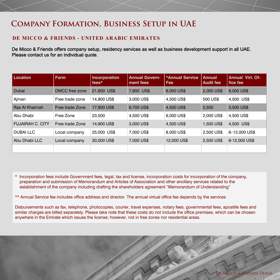## **Company Formation, Business Setup in UAE**

#### **DE MICCO & FRIENDS - UNITED ARABIC EMIRATES**

De Micco & Friends offers company setup, residency services as well as business development support in all UAE. Please contact us for an individual quote.

| <b>Location</b>         | <b>Form</b>     | <b>Incorporation</b><br>fees* | <b>Annual Govern-</b><br>ment fees | *Annual Service<br><b>Fee</b> | <b>Annual</b><br><b>Audit fee</b> | <b>Annual Virt. Of-</b><br>fice fee |
|-------------------------|-----------------|-------------------------------|------------------------------------|-------------------------------|-----------------------------------|-------------------------------------|
| Dubai                   | DMCC free zone  | 21,600 US\$                   | 7,600 US\$                         | 6,000 US\$                    | 2,000 US\$                        | 6,000 US\$                          |
| Ajman                   | Free trade zone | 14,900 US\$                   | 3,000 US\$                         | 4,500 US\$                    | 500 US\$                          | 4.500 US\$                          |
| Ras Al Khaimah          | Free trade Zone | 17,900 US\$                   | 6,700 US\$                         | 4,500 US\$                    | 2.500                             | 3,500 US\$                          |
| Abu Dhabi               | Free Zone       | 23,500                        | 4.500 US\$                         | 6,000 US\$                    | 2,000 US\$                        | 4.500 US\$                          |
| <b>FUJAIRAH C. CITY</b> | Free trade Zone | 14,900 US\$                   | 3,000 US\$                         | 4,500 US\$                    | 1,500 US\$                        | 4.500 US\$                          |
| <b>DUBAILLC</b>         | Local company   | 25,000 US\$                   | 7,000 US\$                         | 8,000 US\$                    | 2,500 US\$                        | 6-12,000 US\$                       |
| Abu Dhabi LLC           | Local company   | 30,000 US\$                   | 7,000 US\$                         | 12,000 US\$                   | 2,500 US\$                        | 6-12,000 US\$                       |
|                         |                 |                               |                                    |                               |                                   |                                     |

\* Incorporation fees include Government fees, legal, tax and license, incorporation costs for incorporation of the company, preparation and submission of Memorandum and Articles of Association and other ancillary services related to the establishment of the company including drafting the shareholders agreement "Memorandum of Understanding"

\*\* Annual Service fee includes office address and director. The annual virtual office fee depends by the services

Disbursements such as fax, telephone, photocopies, courier, travel expenses, notary fees, governmental fees, apostille fees and similar charges are billed separately. Please take note that these costs do not include the office premises, which can be chosen anywhere in the Emirate which issues the license; however, not in free zones nor residential areas.